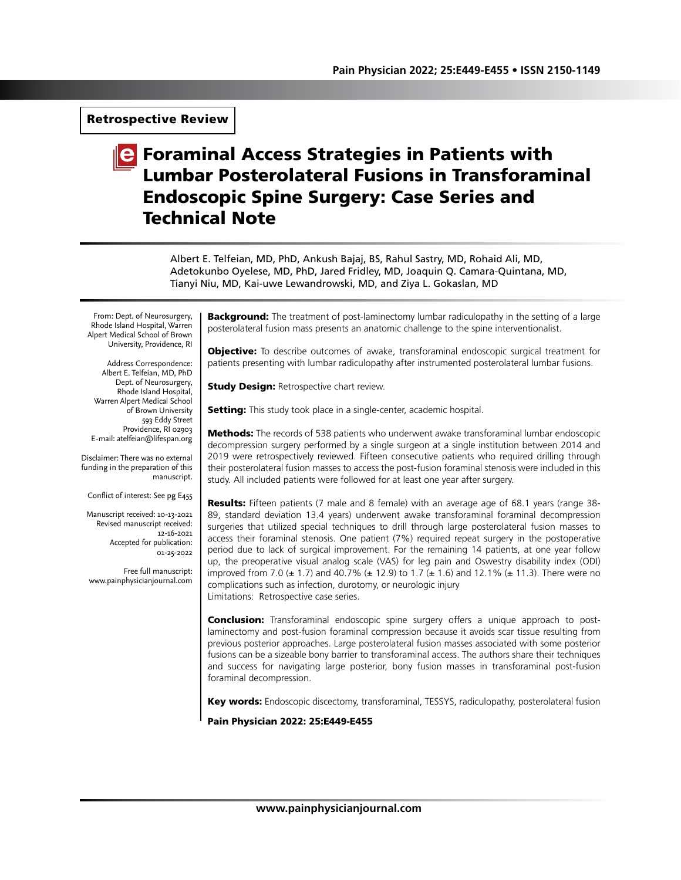## Retrospective Review

# **C** Foraminal Access Strategies in Patients with Lumbar Posterolateral Fusions in Transforaminal Endoscopic Spine Surgery: Case Series and Technical Note

Albert E. Telfeian, MD, PhD, Ankush Bajaj, BS, Rahul Sastry, MD, Rohaid Ali, MD, Adetokunbo Oyelese, MD, PhD, Jared Fridley, MD, Joaquin Q. Camara-Quintana, MD, Tianyi Niu, MD, Kai-uwe Lewandrowski, MD, and Ziya L. Gokaslan, MD

From: Dept. of Neurosurgery, Rhode Island Hospital, Warren Alpert Medical School of Brown University, Providence, RI

Address Correspondence: Albert E. Telfeian, MD, PhD Dept. of Neurosurgery, Rhode Island Hospital, Warren Alpert Medical School of Brown University 593 Eddy Street Providence, RI 02903 E-mail: atelfeian@lifespan.org

Disclaimer: There was no external funding in the preparation of this manuscript.

Conflict of interest: See pg E455

Manuscript received: 10-13-2021 Revised manuscript received: 12-16-2021 Accepted for publication: 01-25-2022

Free full manuscript: www.painphysicianjournal.com

**Background:** The treatment of post-laminectomy lumbar radiculopathy in the setting of a large posterolateral fusion mass presents an anatomic challenge to the spine interventionalist.

**Objective:** To describe outcomes of awake, transforaminal endoscopic surgical treatment for patients presenting with lumbar radiculopathy after instrumented posterolateral lumbar fusions.

**Study Design: Retrospective chart review.** 

**Setting:** This study took place in a single-center, academic hospital.

**Methods:** The records of 538 patients who underwent awake transforaminal lumbar endoscopic decompression surgery performed by a single surgeon at a single institution between 2014 and 2019 were retrospectively reviewed. Fifteen consecutive patients who required drilling through their posterolateral fusion masses to access the post-fusion foraminal stenosis were included in this study. All included patients were followed for at least one year after surgery.

**Results:** Fifteen patients (7 male and 8 female) with an average age of 68.1 years (range 38-89, standard deviation 13.4 years) underwent awake transforaminal foraminal decompression surgeries that utilized special techniques to drill through large posterolateral fusion masses to access their foraminal stenosis. One patient (7%) required repeat surgery in the postoperative period due to lack of surgical improvement. For the remaining 14 patients, at one year follow up, the preoperative visual analog scale (VAS) for leg pain and Oswestry disability index (ODI) improved from 7.0 ( $\pm$  1.7) and 40.7% ( $\pm$  12.9) to 1.7 ( $\pm$  1.6) and 12.1% ( $\pm$  11.3). There were no complications such as infection, durotomy, or neurologic injury Limitations: Retrospective case series.

**Conclusion:** Transforaminal endoscopic spine surgery offers a unique approach to postlaminectomy and post-fusion foraminal compression because it avoids scar tissue resulting from previous posterior approaches. Large posterolateral fusion masses associated with some posterior fusions can be a sizeable bony barrier to transforaminal access. The authors share their techniques and success for navigating large posterior, bony fusion masses in transforaminal post-fusion foraminal decompression.

Key words: Endoscopic discectomy, transforaminal, TESSYS, radiculopathy, posterolateral fusion

Pain Physician 2022: 25:E449-E455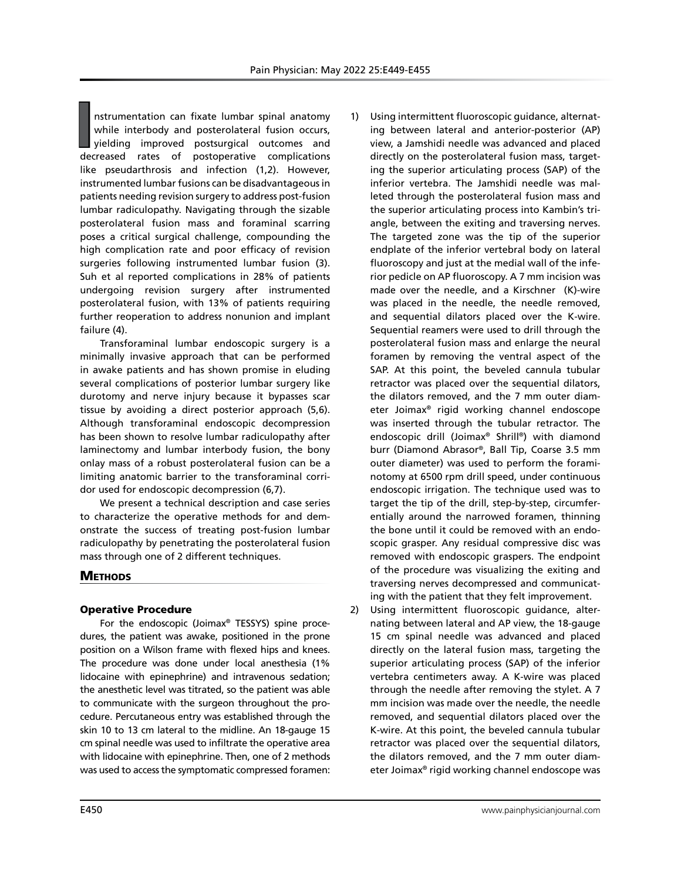I
I
I
nstrumentation can fixate lumbar spinal anatomy<br>while interbody and posterolateral fusion occurs,<br>yielding improved postsurgical outcomes and<br>decreased rates of postoperative complications nstrumentation can fixate lumbar spinal anatomy while interbody and posterolateral fusion occurs, yielding improved postsurgical outcomes and like pseudarthrosis and infection (1,2). However, instrumented lumbar fusions can be disadvantageous in patients needing revision surgery to address post-fusion lumbar radiculopathy. Navigating through the sizable posterolateral fusion mass and foraminal scarring poses a critical surgical challenge, compounding the high complication rate and poor efficacy of revision surgeries following instrumented lumbar fusion (3). Suh et al reported complications in 28% of patients undergoing revision surgery after instrumented posterolateral fusion, with 13% of patients requiring further reoperation to address nonunion and implant failure (4).

Transforaminal lumbar endoscopic surgery is a minimally invasive approach that can be performed in awake patients and has shown promise in eluding several complications of posterior lumbar surgery like durotomy and nerve injury because it bypasses scar tissue by avoiding a direct posterior approach (5,6). Although transforaminal endoscopic decompression has been shown to resolve lumbar radiculopathy after laminectomy and lumbar interbody fusion, the bony onlay mass of a robust posterolateral fusion can be a limiting anatomic barrier to the transforaminal corridor used for endoscopic decompression (6,7).

We present a technical description and case series to characterize the operative methods for and demonstrate the success of treating post-fusion lumbar radiculopathy by penetrating the posterolateral fusion mass through one of 2 different techniques.

## **METHODS**

#### Operative Procedure

For the endoscopic (Joimax® TESSYS) spine procedures, the patient was awake, positioned in the prone position on a Wilson frame with flexed hips and knees. The procedure was done under local anesthesia (1% lidocaine with epinephrine) and intravenous sedation; the anesthetic level was titrated, so the patient was able to communicate with the surgeon throughout the procedure. Percutaneous entry was established through the skin 10 to 13 cm lateral to the midline. An 18-gauge 15 cm spinal needle was used to infiltrate the operative area with lidocaine with epinephrine. Then, one of 2 methods was used to access the symptomatic compressed foramen:

- 1) Using intermittent fluoroscopic guidance, alternating between lateral and anterior-posterior (AP) view, a Jamshidi needle was advanced and placed directly on the posterolateral fusion mass, targeting the superior articulating process (SAP) of the inferior vertebra. The Jamshidi needle was malleted through the posterolateral fusion mass and the superior articulating process into Kambin's triangle, between the exiting and traversing nerves. The targeted zone was the tip of the superior endplate of the inferior vertebral body on lateral fluoroscopy and just at the medial wall of the inferior pedicle on AP fluoroscopy. A 7 mm incision was made over the needle, and a Kirschner (K)-wire was placed in the needle, the needle removed, and sequential dilators placed over the K-wire. Sequential reamers were used to drill through the posterolateral fusion mass and enlarge the neural foramen by removing the ventral aspect of the SAP. At this point, the beveled cannula tubular retractor was placed over the sequential dilators, the dilators removed, and the 7 mm outer diameter Joimax® rigid working channel endoscope was inserted through the tubular retractor. The endoscopic drill (Joimax® Shrill®) with diamond burr (Diamond Abrasor®, Ball Tip, Coarse 3.5 mm outer diameter) was used to perform the foraminotomy at 6500 rpm drill speed, under continuous endoscopic irrigation. The technique used was to target the tip of the drill, step-by-step, circumferentially around the narrowed foramen, thinning the bone until it could be removed with an endoscopic grasper. Any residual compressive disc was removed with endoscopic graspers. The endpoint of the procedure was visualizing the exiting and traversing nerves decompressed and communicating with the patient that they felt improvement.
- 2) Using intermittent fluoroscopic guidance, alternating between lateral and AP view, the 18-gauge 15 cm spinal needle was advanced and placed directly on the lateral fusion mass, targeting the superior articulating process (SAP) of the inferior vertebra centimeters away. A K-wire was placed through the needle after removing the stylet. A 7 mm incision was made over the needle, the needle removed, and sequential dilators placed over the K-wire. At this point, the beveled cannula tubular retractor was placed over the sequential dilators, the dilators removed, and the 7 mm outer diameter Joimax® rigid working channel endoscope was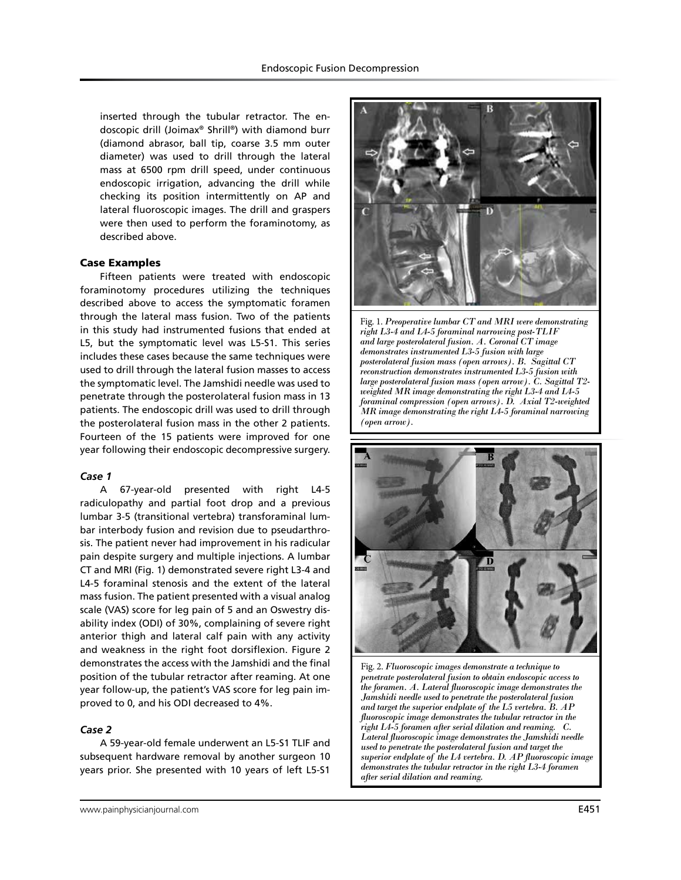inserted through the tubular retractor. The endoscopic drill (Joimax® Shrill®) with diamond burr (diamond abrasor, ball tip, coarse 3.5 mm outer diameter) was used to drill through the lateral mass at 6500 rpm drill speed, under continuous endoscopic irrigation, advancing the drill while checking its position intermittently on AP and lateral fluoroscopic images. The drill and graspers were then used to perform the foraminotomy, as described above.

#### Case Examples

Fifteen patients were treated with endoscopic foraminotomy procedures utilizing the techniques described above to access the symptomatic foramen through the lateral mass fusion. Two of the patients in this study had instrumented fusions that ended at L5, but the symptomatic level was L5-S1. This series includes these cases because the same techniques were used to drill through the lateral fusion masses to access the symptomatic level. The Jamshidi needle was used to penetrate through the posterolateral fusion mass in 13 patients. The endoscopic drill was used to drill through the posterolateral fusion mass in the other 2 patients. Fourteen of the 15 patients were improved for one year following their endoscopic decompressive surgery.

## *Case 1*

A 67-year-old presented with right L4-5 radiculopathy and partial foot drop and a previous lumbar 3-5 (transitional vertebra) transforaminal lumbar interbody fusion and revision due to pseudarthrosis. The patient never had improvement in his radicular pain despite surgery and multiple injections. A lumbar CT and MRI (Fig. 1) demonstrated severe right L3-4 and L4-5 foraminal stenosis and the extent of the lateral mass fusion. The patient presented with a visual analog scale (VAS) score for leg pain of 5 and an Oswestry disability index (ODI) of 30%, complaining of severe right anterior thigh and lateral calf pain with any activity and weakness in the right foot dorsiflexion. Figure 2 demonstrates the access with the Jamshidi and the final position of the tubular retractor after reaming. At one year follow-up, the patient's VAS score for leg pain improved to 0, and his ODI decreased to 4%.

#### *Case 2*

A 59-year-old female underwent an L5-S1 TLIF and subsequent hardware removal by another surgeon 10 years prior. She presented with 10 years of left L5-S1



Fig. 1. *Preoperative lumbar CT and MRI were demonstrating right L3-4 and L4-5 foraminal narrowing post-TLIF and large posterolateral fusion. A. Coronal CT image demonstrates instrumented L3-5 fusion with large posterolateral fusion mass (open arrows). B. Sagittal CT reconstruction demonstrates instrumented L3-5 fusion with large posterolateral fusion mass (open arrow). C. Sagittal T2 weighted MR image demonstrating the right L3-4 and L4-5 foraminal compression (open arrows). D. Axial T2-weighted MR image demonstrating the right L4-5 foraminal narrowing (open arrow).* 



Fig. 2. *Fluoroscopic images demonstrate a technique to penetrate posterolateral fusion to obtain endoscopic access to the foramen. A. Lateral fluoroscopic image demonstrates the Jamshidi needle used to penetrate the posterolateral fusion and target the superior endplate of the L5 vertebra. B. AP fluoroscopic image demonstrates the tubular retractor in the right L4-5 foramen after serial dilation and reaming. C. Lateral fluoroscopic image demonstrates the Jamshidi needle used to penetrate the posterolateral fusion and target the superior endplate of the L4 vertebra. D. AP fluoroscopic image demonstrates the tubular retractor in the right L3-4 foramen after serial dilation and reaming.*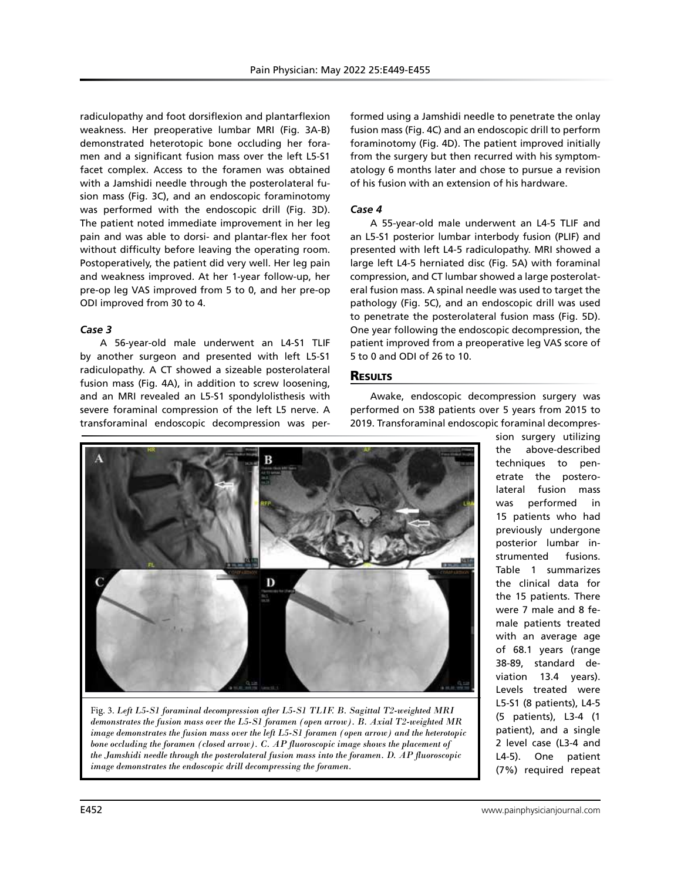radiculopathy and foot dorsiflexion and plantarflexion weakness. Her preoperative lumbar MRI (Fig. 3A-B) demonstrated heterotopic bone occluding her foramen and a significant fusion mass over the left L5-S1 facet complex. Access to the foramen was obtained with a Jamshidi needle through the posterolateral fusion mass (Fig. 3C), and an endoscopic foraminotomy was performed with the endoscopic drill (Fig. 3D). The patient noted immediate improvement in her leg pain and was able to dorsi- and plantar-flex her foot without difficulty before leaving the operating room. Postoperatively, the patient did very well. Her leg pain and weakness improved. At her 1-year follow-up, her pre-op leg VAS improved from 5 to 0, and her pre-op ODI improved from 30 to 4.

## *Case 3*

A 56-year-old male underwent an L4-S1 TLIF by another surgeon and presented with left L5-S1 radiculopathy. A CT showed a sizeable posterolateral fusion mass (Fig. 4A), in addition to screw loosening, and an MRI revealed an L5-S1 spondylolisthesis with severe foraminal compression of the left L5 nerve. A transforaminal endoscopic decompression was performed using a Jamshidi needle to penetrate the onlay fusion mass (Fig. 4C) and an endoscopic drill to perform foraminotomy (Fig. 4D). The patient improved initially from the surgery but then recurred with his symptomatology 6 months later and chose to pursue a revision of his fusion with an extension of his hardware.

### *Case 4*

A 55-year-old male underwent an L4-5 TLIF and an L5-S1 posterior lumbar interbody fusion (PLIF) and presented with left L4-5 radiculopathy. MRI showed a large left L4-5 herniated disc (Fig. 5A) with foraminal compression, and CT lumbar showed a large posterolateral fusion mass. A spinal needle was used to target the pathology (Fig. 5C), and an endoscopic drill was used to penetrate the posterolateral fusion mass (Fig. 5D). One year following the endoscopic decompression, the patient improved from a preoperative leg VAS score of 5 to 0 and ODI of 26 to 10.

## **RESULTS**

Awake, endoscopic decompression surgery was performed on 538 patients over 5 years from 2015 to 2019. Transforaminal endoscopic foraminal decompres-



Fig. 3. *Left L5-S1 foraminal decompression after L5-S1 TLIF. B. Sagittal T2-weighted MRI demonstrates the fusion mass over the L5-S1 foramen (open arrow). B. Axial T2-weighted MR image demonstrates the fusion mass over the left L5-S1 foramen (open arrow) and the heterotopic bone occluding the foramen (closed arrow). C. AP fluoroscopic image shows the placement of the Jamshidi needle through the posterolateral fusion mass into the foramen. D. AP fluoroscopic image demonstrates the endoscopic drill decompressing the foramen.*

sion surgery utilizing the above-described techniques to penetrate the posterolateral fusion mass was performed in 15 patients who had previously undergone posterior lumbar instrumented fusions. Table 1 summarizes the clinical data for the 15 patients. There were 7 male and 8 female patients treated with an average age of 68.1 years (range 38-89, standard deviation 13.4 years). Levels treated were L5-S1 (8 patients), L4-5 (5 patients), L3-4 (1 patient), and a single 2 level case (L3-4 and L4-5). One patient (7%) required repeat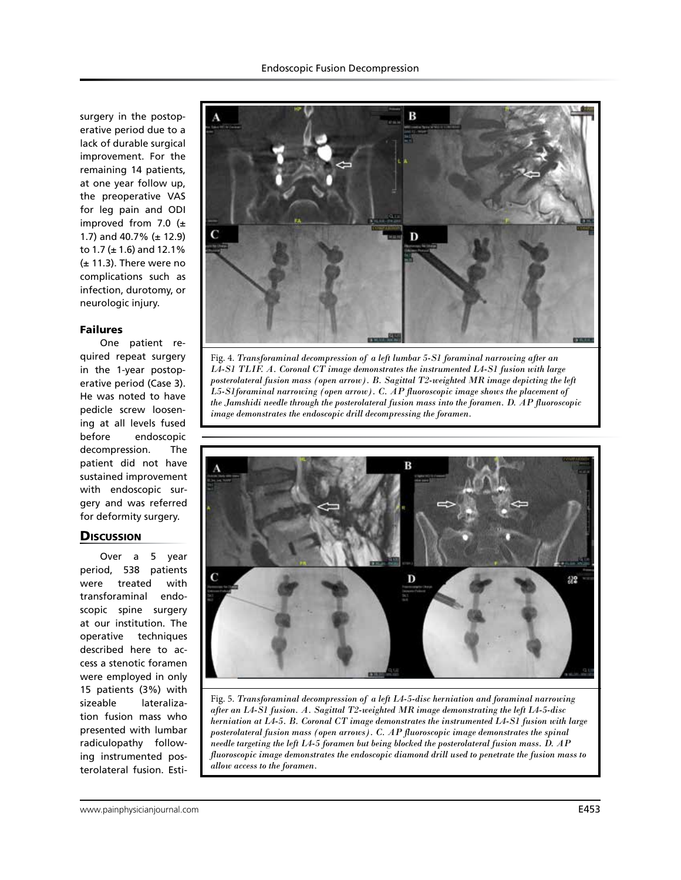surgery in the postoperative period due to a lack of durable surgical improvement. For the remaining 14 patients, at one year follow up, the preoperative VAS for leg pain and ODI improved from 7.0  $(\pm$ 1.7) and 40.7% (± 12.9) to 1.7 (± 1.6) and 12.1% (± 11.3). There were no complications such as infection, durotomy, or neurologic injury.

#### Failures

One patient required repeat surgery in the 1-year postoperative period (Case 3). He was noted to have pedicle screw loosening at all levels fused before endoscopic decompression. The patient did not have sustained improvement with endoscopic surgery and was referred for deformity surgery.

## **Discussion**

Over a 5 year period, 538 patients were treated with transforaminal endoscopic spine surgery at our institution. The operative techniques described here to access a stenotic foramen were employed in only 15 patients (3%) with sizeable lateralization fusion mass who presented with lumbar radiculopathy following instrumented posterolateral fusion. Esti-







Fig. 5. *Transforaminal decompression of a left L4-5-disc herniation and foraminal narrowing after an L4-S1 fusion. A. Sagittal T2-weighted MR image demonstrating the left L4-5-disc herniation at L4-5. B. Coronal CT image demonstrates the instrumented L4-S1 fusion with large posterolateral fusion mass (open arrows). C. AP fluoroscopic image demonstrates the spinal needle targeting the left L4-5 foramen but being blocked the posterolateral fusion mass. D. AP fluoroscopic image demonstrates the endoscopic diamond drill used to penetrate the fusion mass to allow access to the foramen.*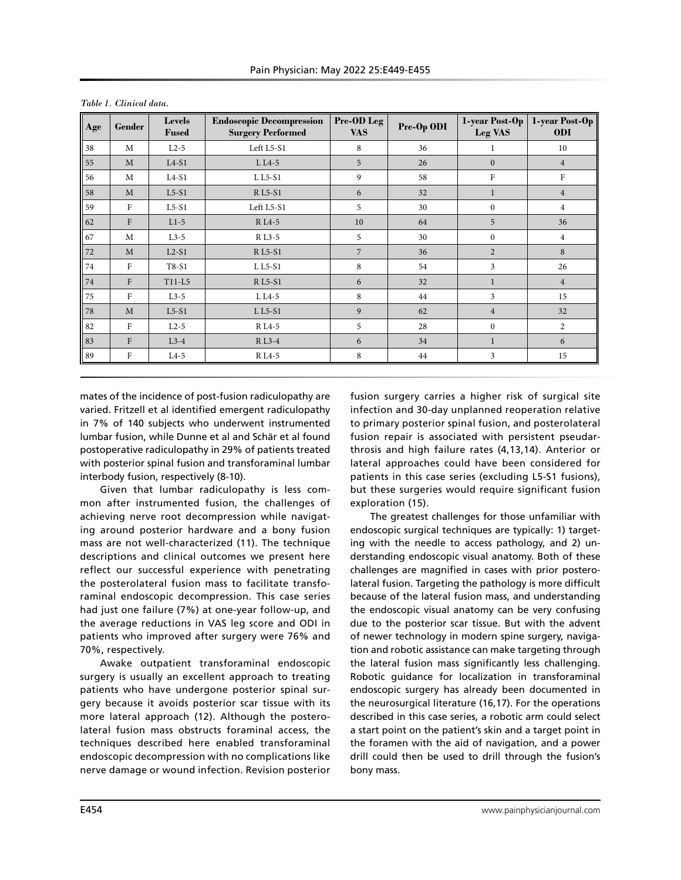| Age | Gender       | <b>Levels</b><br><b>Fused</b> | <b>Endoscopic Decompression</b><br><b>Surgery Performed</b> | Pre-OD Leg<br><b>VAS</b> | Pre-Op ODI | 1-year Post-Op<br>Leg VAS | 1-year Post-Op<br><b>ODI</b> |
|-----|--------------|-------------------------------|-------------------------------------------------------------|--------------------------|------------|---------------------------|------------------------------|
| 38  | M            | $L2-5$                        | Left L5-S1                                                  | 8                        | 36         | 1                         | 10                           |
| 55  | M            | $L4-S1$                       | $L L4-5$                                                    | 5                        | 26         | $\mathbf{0}$              | $\overline{4}$               |
| 56  | M            | $L4-S1$                       | L L5-S1                                                     | 9                        | 58         | $\mathbf F$               | $\rm F$                      |
| 58  | M            | $L5-S1$                       | <b>RL5-S1</b>                                               | 6                        | 32         | 1                         | $\overline{4}$               |
| 59  | $\mathbf F$  | $L5-S1$                       | Left L5-S1                                                  | 5                        | 30         | $\mathbf{0}$              | $\overline{4}$               |
| 62  | $\mathbf{F}$ | $L1-5$                        | R <sub>L4-5</sub>                                           | 10                       | 64         | 5                         | 36                           |
| 67  | M            | $L3-5$                        | R L <sub>3</sub> -5                                         | 5                        | 30         | $\mathbf{0}$              | $\overline{4}$               |
| 72  | M            | $L2-S1$                       | <b>RL5-S1</b>                                               | $\overline{7}$           | 36         | $\overline{2}$            | 8                            |
| 74  | F            | $T8-S1$                       | L L5-S1                                                     | 8                        | 54         | 3                         | 26                           |
| 74  | $\mathbf{F}$ | $T11-L5$                      | <b>RL5-S1</b>                                               | 6                        | 32         | 1                         | $\overline{4}$               |
| 75  | $\mathbf{F}$ | $L3-5$                        | $L L4-5$                                                    | 8                        | 44         | 3                         | 15                           |
| 78  | M            | $L5-S1$                       | $LL5-S1$                                                    | 9                        | 62         | $\overline{4}$            | 32                           |
| 82  | $\mathbf{F}$ | $L2-5$                        | R <sub>L4-5</sub>                                           | 5                        | 28         | $\mathbf{0}$              | $\overline{2}$               |
| 83  | F            | $L3-4$                        | R L3-4                                                      | 6                        | 34         | 1                         | 6                            |
| 89  | F            | $L4-5$                        | R <sub>L4-5</sub>                                           | 8                        | 44         | 3                         | 15                           |

mates of the incidence of post-fusion radiculopathy are varied. Fritzell et al identified emergent radiculopathy in 7% of 140 subjects who underwent instrumented lumbar fusion, while Dunne et al and Schär et al found postoperative radiculopathy in 29% of patients treated with posterior spinal fusion and transforaminal lumbar interbody fusion, respectively (8-10).

Given that lumbar radiculopathy is less common after instrumented fusion, the challenges of achieving nerve root decompression while navigating around posterior hardware and a bony fusion mass are not well-characterized (11). The technique descriptions and clinical outcomes we present here reflect our successful experience with penetrating the posterolateral fusion mass to facilitate transforaminal endoscopic decompression. This case series had just one failure (7%) at one-year follow-up, and the average reductions in VAS leg score and ODI in patients who improved after surgery were 76% and 70%, respectively.

Awake outpatient transforaminal endoscopic surgery is usually an excellent approach to treating patients who have undergone posterior spinal surgery because it avoids posterior scar tissue with its more lateral approach (12). Although the posterolateral fusion mass obstructs foraminal access, the techniques described here enabled transforaminal endoscopic decompression with no complications like nerve damage or wound infection. Revision posterior

fusion surgery carries a higher risk of surgical site infection and 30-day unplanned reoperation relative to primary posterior spinal fusion, and posterolateral fusion repair is associated with persistent pseudarthrosis and high failure rates (4,13,14). Anterior or lateral approaches could have been considered for patients in this case series (excluding L5-S1 fusions), but these surgeries would require significant fusion exploration (15).

The greatest challenges for those unfamiliar with endoscopic surgical techniques are typically: 1) targeting with the needle to access pathology, and 2) understanding endoscopic visual anatomy. Both of these challenges are magnified in cases with prior posterolateral fusion. Targeting the pathology is more difficult because of the lateral fusion mass, and understanding the endoscopic visual anatomy can be very confusing due to the posterior scar tissue. But with the advent of newer technology in modern spine surgery, navigation and robotic assistance can make targeting through the lateral fusion mass significantly less challenging. Robotic guidance for localization in transforaminal endoscopic surgery has already been documented in the neurosurgical literature (16,17). For the operations described in this case series, a robotic arm could select a start point on the patient's skin and a target point in the foramen with the aid of navigation, and a power drill could then be used to drill through the fusion's bony mass.